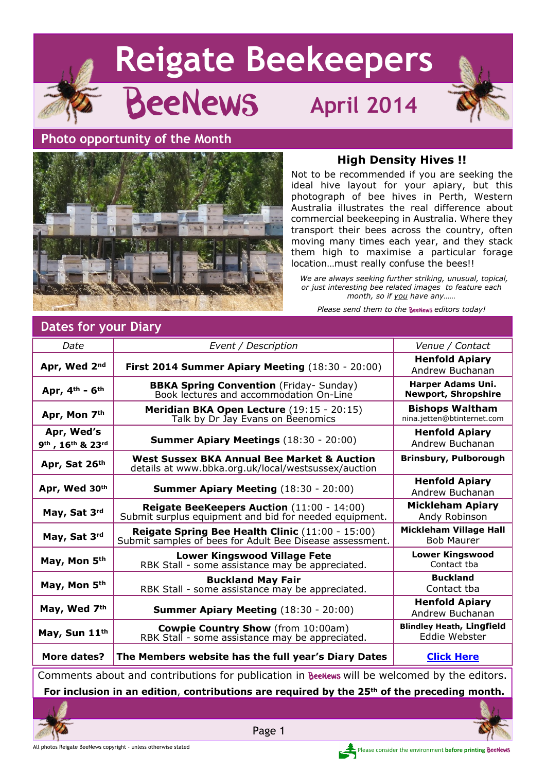





#### **High Density Hives !!**

Not to be recommended if you are seeking the ideal hive layout for your apiary, but this photograph of bee hives in Perth, Western Australia illustrates the real difference about commercial beekeeping in Australia. Where they transport their bees across the country, often moving many times each year, and they stack them high to maximise a particular forage location…must really confuse the bees!!

 *We are always seeking further striking, unusual, topical, or just interesting bee related images to feature each month, so if you have any……*

*Please send them to the BeeNews editors today!* 

# **Dates for your Diary**

| Date                           | Event / Description                                                                                          | Venue / Contact                                      |
|--------------------------------|--------------------------------------------------------------------------------------------------------------|------------------------------------------------------|
|                                |                                                                                                              |                                                      |
| Apr, Wed 2nd                   | First 2014 Summer Apiary Meeting (18:30 - 20:00)                                                             | <b>Henfold Apiary</b><br>Andrew Buchanan             |
| Apr, 4th - 6th                 | <b>BBKA Spring Convention</b> (Friday- Sunday)<br>Book lectures and accommodation On-Line                    | Harper Adams Uni.<br><b>Newport, Shropshire</b>      |
| Apr, Mon 7th                   | Meridian BKA Open Lecture (19:15 - 20:15)<br>Talk by Dr Jay Evans on Beenomics                               | <b>Bishops Waltham</b><br>nina.jetten@btinternet.com |
| Apr, Wed's<br>9th, 16th & 23rd | <b>Summer Apiary Meetings (18:30 - 20:00)</b>                                                                | <b>Henfold Apiary</b><br>Andrew Buchanan             |
| Apr, Sat 26th                  | West Sussex BKA Annual Bee Market & Auction<br>details at www.bbka.org.uk/local/westsussex/auction           | <b>Brinsbury, Pulborough</b>                         |
| Apr, Wed 30th                  | <b>Summer Apiary Meeting (18:30 - 20:00)</b>                                                                 | <b>Henfold Apiary</b><br>Andrew Buchanan             |
| May, Sat 3rd                   | Reigate BeeKeepers Auction (11:00 - 14:00)<br>Submit surplus equipment and bid for needed equipment.         | <b>Mickleham Apiary</b><br>Andy Robinson             |
| May, Sat 3rd                   | Reigate Spring Bee Health Clinic (11:00 - 15:00)<br>Submit samples of bees for Adult Bee Disease assessment. | <b>Mickleham Village Hall</b><br><b>Bob Maurer</b>   |
| May, Mon 5th                   | <b>Lower Kingswood Village Fete</b><br>RBK Stall - some assistance may be appreciated.                       | <b>Lower Kingswood</b><br>Contact tba                |
| May, Mon 5th                   | <b>Buckland May Fair</b><br>RBK Stall - some assistance may be appreciated.                                  | <b>Buckland</b><br>Contact tba                       |
| May, Wed 7th                   | <b>Summer Apiary Meeting (18:30 - 20:00)</b>                                                                 | <b>Henfold Apiary</b><br>Andrew Buchanan             |
| May, Sun 11th                  | <b>Cowpie Country Show</b> (from 10:00am)<br>RBK Stall - some assistance may be appreciated.                 | <b>Blindley Heath, Lingfield</b><br>Eddie Webster    |
| More dates?                    | The Members website has the full year's Diary Dates                                                          | <b>Click Here</b>                                    |
|                                |                                                                                                              |                                                      |

Comments about and contributions for publication in BeeNews will be welcomed by the editors. **For inclusion in an edition**, **contributions are required by the 25th of the preceding month.**

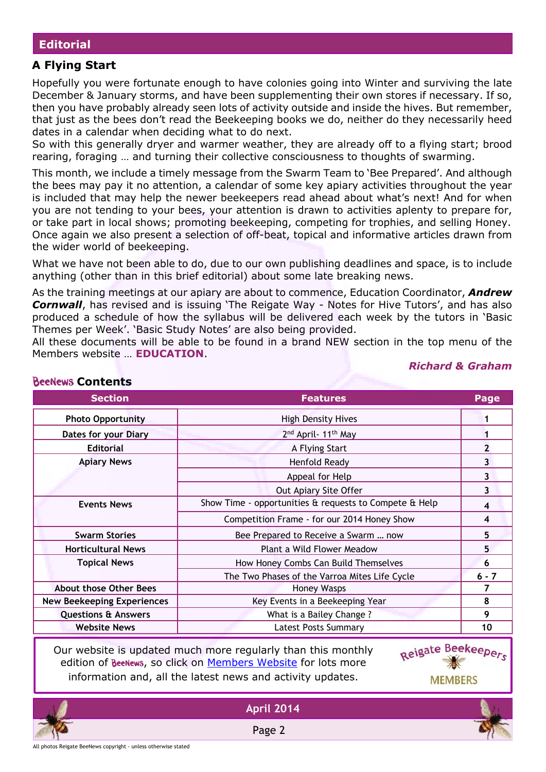#### **Editorial**

### **A Flying Start**

Hopefully you were fortunate enough to have colonies going into Winter and surviving the late December & January storms, and have been supplementing their own stores if necessary. If so, then you have probably already seen lots of activity outside and inside the hives. But remember, that just as the bees don't read the Beekeeping books we do, neither do they necessarily heed dates in a calendar when deciding what to do next.

So with this generally dryer and warmer weather, they are already off to a flying start; brood rearing, foraging … and turning their collective consciousness to thoughts of swarming.

This month, we include a timely message from the Swarm Team to 'Bee Prepared'. And although the bees may pay it no attention, a calendar of some key apiary activities throughout the year is included that may help the newer beekeepers read ahead about what's next! And for when you are not tending to your bees, your attention is drawn to activities aplenty to prepare for, or take part in local shows; promoting beekeeping, competing for trophies, and selling Honey. Once again we also present a selection of off-beat, topical and informative articles drawn from the wider world of beekeeping.

What we have not been able to do, due to our own publishing deadlines and space, is to include anything (other than in this brief editorial) about some late breaking news.

As the training meetings at our apiary are about to commence, Education Coordinator, *Andrew* **Cornwall**, has revised and is issuing 'The Reigate Way - Notes for Hive Tutors', and has also produced a schedule of how the syllabus will be delivered each week by the tutors in 'Basic Themes per Week'. 'Basic Study Notes' are also being provided.

All these documents will be able to be found in a brand NEW section in the top menu of the Members website … **EDUCATION**.

|                                   | <b>Section</b> | <b>Features</b>                                        | Page    |  |
|-----------------------------------|----------------|--------------------------------------------------------|---------|--|
| <b>Photo Opportunity</b>          |                | <b>High Density Hives</b>                              |         |  |
| <b>Dates for your Diary</b>       |                | 2 <sup>nd</sup> April - 11 <sup>th</sup> May           |         |  |
| <b>Editorial</b>                  |                | A Flying Start                                         |         |  |
| <b>Apiary News</b>                |                | Henfold Ready                                          | 3       |  |
|                                   |                | Appeal for Help                                        | 3       |  |
|                                   |                | Out Apiary Site Offer                                  | 3       |  |
| <b>Events News</b>                |                | Show Time - opportunities & requests to Compete & Help | 4       |  |
|                                   |                | Competition Frame - for our 2014 Honey Show            | 4       |  |
| <b>Swarm Stories</b>              |                | Bee Prepared to Receive a Swarm  now                   | 5       |  |
| <b>Horticultural News</b>         |                | Plant a Wild Flower Meadow                             | 5       |  |
| <b>Topical News</b>               |                | How Honey Combs Can Build Themselves                   | 6       |  |
|                                   |                | The Two Phases of the Varroa Mites Life Cycle          | $6 - 7$ |  |
| <b>About those Other Bees</b>     |                | <b>Honey Wasps</b>                                     | 7       |  |
| <b>New Beekeeping Experiences</b> |                | Key Events in a Beekeeping Year                        | 8       |  |
| <b>Questions &amp; Answers</b>    |                | What is a Bailey Change?                               | 9       |  |
| <b>Website News</b>               |                | <b>Latest Posts Summary</b>                            | 10      |  |
|                                   |                |                                                        |         |  |

#### **BeeNews Contents**

Our website is updated much more regularly than this monthly edition of BeeNews, so click on [Members Website](http://rbkbblog.com) for lots more information and, all the latest news and activity updates.



*Richard & Graham*



Page 2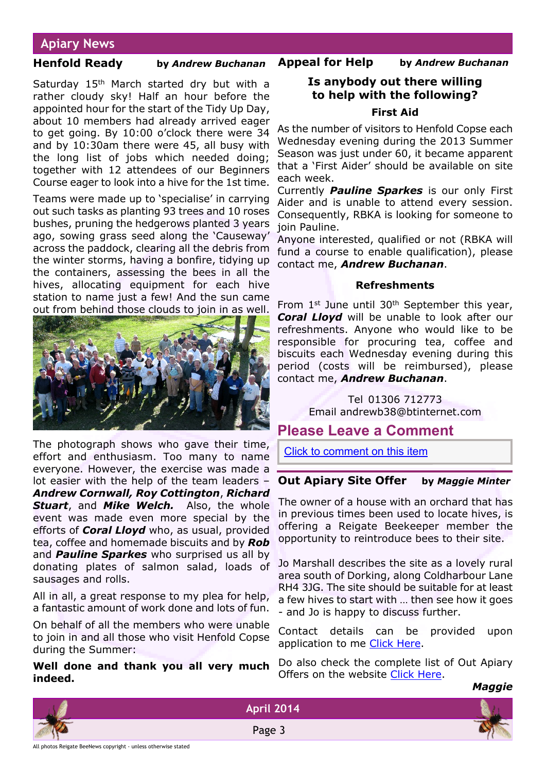# **Apiary News**

#### **Henfold Ready by** *Andrew Buchanan*

Saturday 15<sup>th</sup> March started dry but with a rather cloudy sky! Half an hour before the appointed hour for the start of the Tidy Up Day, about 10 members had already arrived eager to get going. By 10:00 o'clock there were 34 and by 10:30am there were 45, all busy with the long list of jobs which needed doing; together with 12 attendees of our Beginners Course eager to look into a hive for the 1st time.

Teams were made up to 'specialise' in carrying out such tasks as planting 93 trees and 10 roses bushes, pruning the hedgerows planted 3 years ago, sowing grass seed along the 'Causeway' across the paddock, clearing all the debris from the winter storms, having a bonfire, tidying up the containers, assessing the bees in all the hives, allocating equipment for each hive station to name just a few! And the sun came out from behind those clouds to join in as well.



The photograph shows who gave their time, effort and enthusiasm. Too many to name everyone. However, the exercise was made a lot easier with the help of the team leaders – *Andrew Cornwall, Roy Cottington*, *Richard Stuart*, and *Mike Welch.* Also, the whole event was made even more special by the efforts of *Coral Lloyd* who, as usual, provided tea, coffee and homemade biscuits and by *Rob* and *Pauline Sparkes* who surprised us all by donating plates of salmon salad, loads of sausages and rolls.

All in all, a great response to my plea for help, a fantastic amount of work done and lots of fun.

On behalf of all the members who were unable to join in and all those who visit Henfold Copse during the Summer:

**Well done and thank you all very much indeed.**

# **Is anybody out there willing to help with the following? First Aid**

**Appeal for Help by** *Andrew Buchanan*

As the number of visitors to Henfold Copse each Wednesday evening during the 2013 Summer Season was just under 60, it became apparent that a 'First Aider' should be available on site each week.

Currently *Pauline Sparkes* is our only First Aider and is unable to attend every session. Consequently, RBKA is looking for someone to join Pauline.

Anyone interested, qualified or not (RBKA will fund a course to enable qualification), please contact me, *Andrew Buchanan*.

#### **Refreshments**

From 1st June until 30th September this year, *Coral Lloyd* will be unable to look after our refreshments. Anyone who would like to be responsible for procuring tea, coffee and biscuits each Wednesday evening during this period (costs will be reimbursed), please contact me, *Andrew Buchanan*.

> Tel 01306 712773 Email andrewb38@btinternet.com

# **Please Leave a Comment**

[Click to comment on this item](http://rbkbblog.com/2014/04/01/april-2014-beenews/)

#### **Out Apiary Site Offer by** *Maggie Minter*

The owner of a house with an orchard that has in previous times been used to locate hives, is offering a Reigate Beekeeper member the opportunity to reintroduce bees to their site.

Jo Marshall describes the site as a lovely rural area south of Dorking, along Coldharbour Lane RH4 3JG. The site should be suitable for at least a few hives to start with … then see how it goes - and Jo is happy to discuss further.

Contact details can be provided upon application to me [Click Here.](http://rbkbblog.com/membership/whos-who/contact-maggie-minter-committee-member/)

Do also check the complete list of Out Apiary Offers on the website [Click Here.](http://rbkbblog.com/category/out-apiary-offers/)

#### *Maggie*







**April 2014**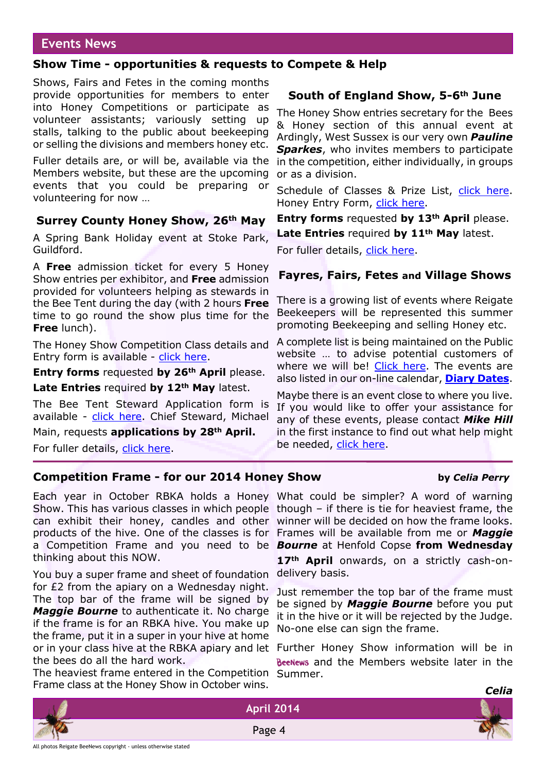### **Events News**

#### **Show Time - opportunities & requests to Compete & Help**

Shows, Fairs and Fetes in the coming months provide opportunities for members to enter into Honey Competitions or participate as volunteer assistants; variously setting up stalls, talking to the public about beekeeping or selling the divisions and members honey etc.

Fuller details are, or will be, available via the Members website, but these are the upcoming events that you could be preparing or volunteering for now …

#### **Surrey County Honey Show, 26th May**

A Spring Bank Holiday event at Stoke Park, Guildford.

A **Free** admission ticket for every 5 Honey Show entries per exhibitor, and **Free** admission provided for volunteers helping as stewards in the Bee Tent during the day (with 2 hours **Free** time to go round the show plus time for the **Free** lunch).

The Honey Show Competition Class details and Entry form is available - [click here.](http://rbkbblog.files.wordpress.com/2014/03/honey-schedule-14.pdf)

**Entry forms** requested **by 26th April** please.

**Late Entries** required **by 12th May** latest.

The Bee Tent Steward Application form is available - [click here.](http://rbkbblog.files.wordpress.com/2014/03/surrey-show-2014-stewards-application.docx) Chief Steward, Michael

Main, requests **applications by 28th April.**

For fuller details, [click here.](http://rbkbblog.com/2014/03/03/surrey-county-honey-show-26th-may/)

### **South of England Show, 5-6th June**

The Honey Show entries secretary for the Bees & Honey section of this annual event at Ardingly, West Sussex is our very own *Pauline Sparkes*, who invites members to participate in the competition, either individually, in groups or as a division.

Schedule of Classes & Prize List, [click here](http://rbkbblog.files.wordpress.com/2014/03/soesschedule-of-classes-and-prize-list-2014.pdf). Honey Entry Form, [click here.](http://rbkbblog.files.wordpress.com/2014/03/soeshoney-entry-form-2014.pdf)

**Entry forms** requested **by 13th April** please. **Late Entries** required **by 11th May** latest.

For fuller details, [click here.](http://rbkbblog.com/2014/03/26/south-of-england-show-bees-honey/)

#### **Fayres, Fairs, Fetes and Village Shows**

There is a growing list of events where Reigate Beekeepers will be represented this summer promoting Beekeeping and selling Honey etc.

A complete list is being maintained on the Public website … to advise potential customers of where we will be! [Click here](http://reigatebeekeepers.org.uk/local-shows/). The events are also listed in our on-line calendar, **[Diary Dates](http://rbkbblog.com/diary-dates/)**.

Maybe there is an event close to where you live. If you would like to offer your assistance for any of these events, please contact *Mike Hill* in the first instance to find out what help might be needed, [click here.](http://rbkbblog.com/membership/whos-who/contact-mike-hill-membership-sec-committee-member/)

#### **Competition Frame - for our 2014 Honey Show by** *Celia Perry*

#### Each year in October RBKA holds a Honey What could be simpler? A word of warning Show. This has various classes in which people though – if there is tie for heaviest frame, the can exhibit their honey, candles and other winner will be decided on how the frame looks. products of the hive. One of the classes is for Frames will be available from me or *Maggie* a Competition Frame and you need to be *Bourne* at Henfold Copse **from Wednesday** thinking about this NOW.

You buy a super frame and sheet of foundation for £2 from the apiary on a Wednesday night. The top bar of the frame will be signed by *Maggie Bourne* to authenticate it. No charge if the frame is for an RBKA hive. You make up the frame, put it in a super in your hive at home or in your class hive at the RBKA apiary and let the bees do all the hard work.

The heaviest frame entered in the Competition Summer. Frame class at the Honey Show in October wins.

**17th April** onwards, on a strictly cash-ondelivery basis.

Just remember the top bar of the frame must be signed by *Maggie Bourne* before you put it in the hive or it will be rejected by the Judge. No-one else can sign the frame.

Further Honey Show information will be in BeeNews and the Members website later in the



Page 4



*Celia*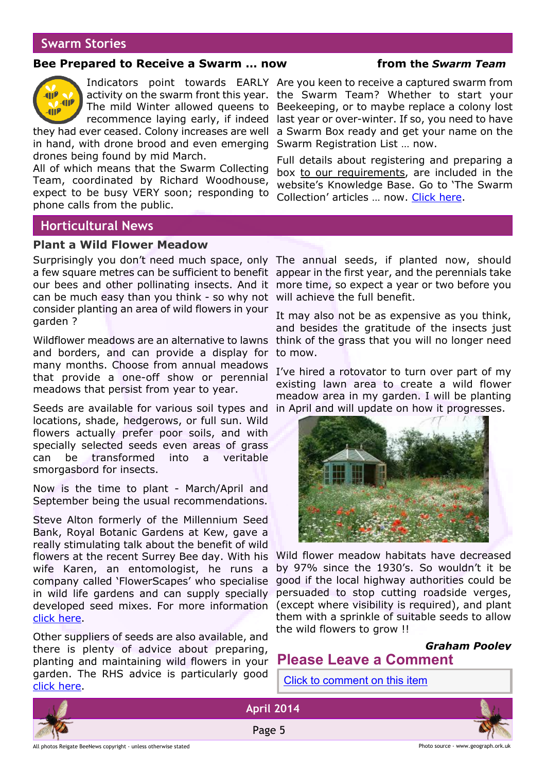### **Swarm Stories**

#### **Bee Prepared to Receive a Swarm … now from the** *Swarm Team*



The mild Winter allowed queens to recommence laying early, if indeed

they had ever ceased. Colony increases are well in hand, with drone brood and even emerging drones being found by mid March.

All of which means that the Swarm Collecting Team, coordinated by Richard Woodhouse, expect to be busy VERY soon; responding to phone calls from the public.

Indicators point towards EARLY Are you keen to receive a captured swarm from activity on the swarm front this year. the Swarm Team? Whether to start your Beekeeping, or to maybe replace a colony lost last year or over-winter. If so, you need to have a Swarm Box ready and get your name on the Swarm Registration List … now.

> Full details about registering and preparing a box to our requirements, are included in the website's Knowledge Base. Go to 'The Swarm Collection' articles … now. [Click here.](http://rbkbblog.com/category/swarm-collection/)

### **Horticultural News**

#### **Plant a Wild Flower Meadow**

Surprisingly you don't need much space, only The annual seeds, if planted now, should a few square metres can be sufficient to benefit appear in the first year, and the perennials take our bees and other pollinating insects. And it more time, so expect a year or two before you can be much easy than you think - so why not will achieve the full benefit. consider planting an area of wild flowers in your garden ?

Wildflower meadows are an alternative to lawns think of the grass that you will no longer need and borders, and can provide a display for many months. Choose from annual meadows that provide a one-off show or perennial meadows that persist from year to year.

Seeds are available for various soil types and locations, shade, hedgerows, or full sun. Wild flowers actually prefer poor soils, and with specially selected seeds even areas of grass can be transformed into a veritable smorgasbord for insects.

Now is the time to plant - March/April and September being the usual recommendations.

Steve Alton formerly of the Millennium Seed Bank, Royal Botanic Gardens at Kew, gave a really stimulating talk about the benefit of wild flowers at the recent Surrey Bee day. With his wife Karen, an entomologist, he runs a company called 'FlowerScapes' who specialise in wild life gardens and can supply specially developed seed mixes. For more information [click here.](http://www.flowerscapes.org.uk/#)

Other suppliers of seeds are also available, and there is plenty of advice about preparing, planting and maintaining wild flowers in your garden. The RHS advice is particularly good [click here.](http://apps.rhs.org.uk/advicesearch/profile.aspx?pid=436)

It may also not be as expensive as you think, and besides the gratitude of the insects just to mow.

I've hired a rotovator to turn over part of my existing lawn area to create a wild flower meadow area in my garden. I will be planting in April and will update on how it progresses.



Wild flower meadow habitats have decreased by 97% since the 1930's. So wouldn't it be good if the local highway authorities could be persuaded to stop cutting roadside verges, (except where visibility is required), and plant them with a sprinkle of suitable seeds to allow the wild flowers to grow !!

#### *Graham Pooley*

# **Please Leave a Comment**

[Click to comment on this item](http://rbkbblog.com/2014/04/01/april-2014-beenews/)





Page 5

**April 2014**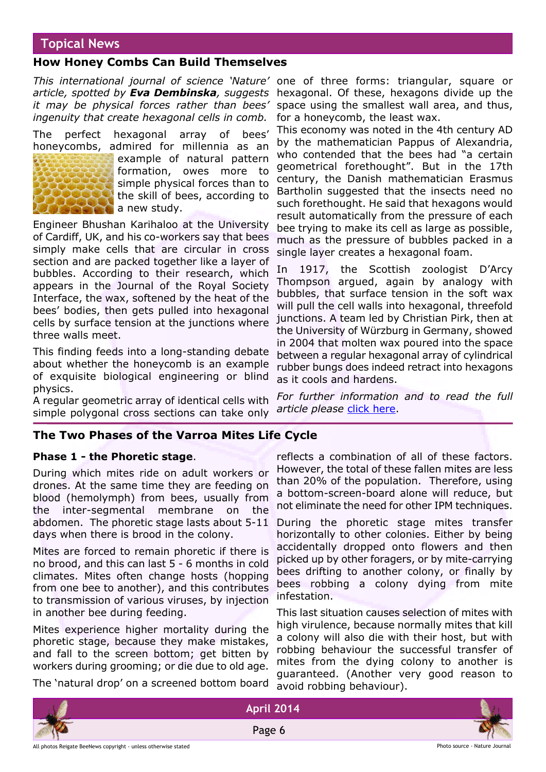# **Topical News**

#### **How Honey Combs Can Build Themselves**

*This international journal of science 'Nature'* one of three forms: triangular, square or *article, spotted by Eva Dembinska, suggests* hexagonal. Of these, hexagons divide up the *it may be physical forces rather than bees' ingenuity that create hexagonal cells in comb.*

The perfect hexagonal array of bees' honeycombs, admired for millennia as an



example of natural pattern formation, owes more to simple physical forces than to the skill of bees, according to a new study.

Engineer Bhushan Karihaloo at the University of Cardiff, UK, and his co-workers say that bees simply make cells that are circular in cross section and are packed together like a layer of bubbles. According to their research, which appears in the Journal of the Royal Society Interface, the wax, softened by the heat of the bees' bodies, then gets pulled into hexagonal cells by surface tension at the junctions where three walls meet.

This finding feeds into a long-standing debate about whether the honeycomb is an example of exquisite biological engineering or blind physics.

A regular geometric array of identical cells with simple polygonal cross sections can take only

space using the smallest wall area, and thus, for a honeycomb, the least wax.

This economy was noted in the 4th century AD by the mathematician Pappus of Alexandria, who contended that the bees had "a certain geometrical forethought". But in the 17th century, the Danish mathematician Erasmus Bartholin suggested that the insects need no such forethought. He said that hexagons would result automatically from the pressure of each bee trying to make its cell as large as possible, much as the pressure of bubbles packed in a single layer creates a hexagonal foam.

In 1917, the Scottish zoologist D'Arcy Thompson argued, again by analogy with bubbles, that surface tension in the soft wax will pull the cell walls into hexagonal, threefold junctions. A team led by Christian Pirk, then at the University of Würzburg in Germany, showed in 2004 that molten wax poured into the space between a regular hexagonal array of cylindrical rubber bungs does indeed retract into hexagons as it cools and hardens.

*For further information and to read the full* article please [click here](http://www.nature.com/news/how-honeycombs-can-build-themselves-1.13398).

#### **The Two Phases of the Varroa Mites Life Cycle**

#### **Phase 1 - the Phoretic stage**.

During which mites ride on adult workers or drones. At the same time they are feeding on blood (hemolymph) from bees, usually from the inter-segmental membrane on the abdomen. The phoretic stage lasts about 5-11 days when there is brood in the colony.

Mites are forced to remain phoretic if there is no brood, and this can last 5 - 6 months in cold climates. Mites often change hosts (hopping from one bee to another), and this contributes to transmission of various viruses, by injection in another bee during feeding.

Mites experience higher mortality during the phoretic stage, because they make mistakes, and fall to the screen bottom; get bitten by workers during grooming; or die due to old age.

The 'natural drop' on a screened bottom board

reflects a combination of all of these factors. However, the total of these fallen mites are less than 20% of the population. Therefore, using a bottom-screen-board alone will reduce, but not eliminate the need for other IPM techniques.

During the phoretic stage mites transfer horizontally to other colonies. Either by being accidentally dropped onto flowers and then picked up by other foragers, or by mite-carrying bees drifting to another colony, or finally by bees robbing a colony dying from mite infestation.

This last situation causes selection of mites with high virulence, because normally mites that kill a colony will also die with their host, but with robbing behaviour the successful transfer of mites from the dying colony to another is guaranteed. (Another very good reason to avoid robbing behaviour).



Page 6

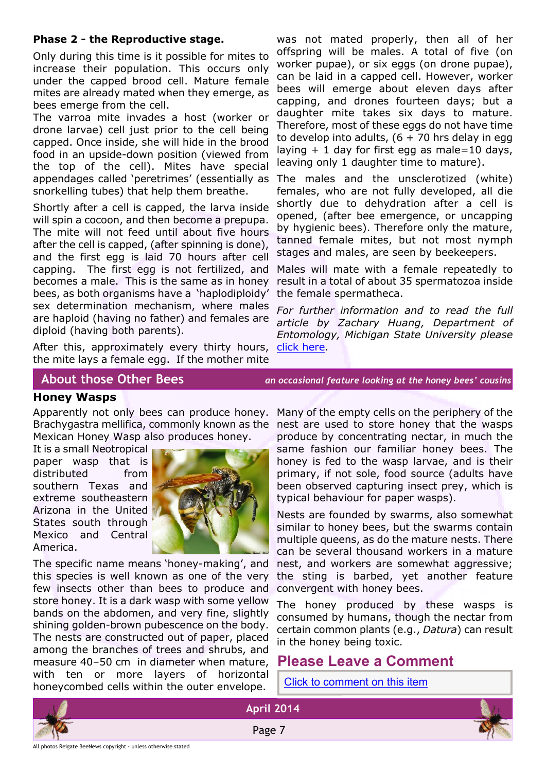#### **Phase 2 - the Reproductive stage.**

Only during this time is it possible for mites to increase their population. This occurs only under the capped brood cell. Mature female mites are already mated when they emerge, as bees emerge from the cell.

The varroa mite invades a host (worker or drone larvae) cell just prior to the cell being capped. Once inside, she will hide in the brood food in an upside-down position (viewed from the top of the cell). Mites have special appendages called 'peretrimes' (essentially as snorkelling tubes) that help them breathe.

Shortly after a cell is capped, the larva inside will spin a cocoon, and then become a prepupa. The mite will not feed until about five hours after the cell is capped, (after spinning is done), and the first egg is laid 70 hours after cell capping. The first egg is not fertilized, and becomes a male. This is the same as in honey bees, as both organisms have a 'haplodiploidy' sex determination mechanism, where males are haploid (having no father) and females are diploid (having both parents).

After this, approximately every thirty hours, the mite lays a female egg. If the mother mite

was not mated properly, then all of her offspring will be males. A total of five (on worker pupae), or six eggs (on drone pupae), can be laid in a capped cell. However, worker bees will emerge about eleven days after capping, and drones fourteen days; but a daughter mite takes six days to mature. Therefore, most of these eggs do not have time to develop into adults,  $(6 + 70)$  hrs delay in egg laying  $+1$  day for first egg as male=10 days, leaving only 1 daughter time to mature).

The males and the unsclerotized (white) females, who are not fully developed, all die shortly due to dehydration after a cell is opened, (after bee emergence, or uncapping by hygienic bees). Therefore only the mature, tanned female mites, but not most nymph stages and males, are seen by beekeepers.

Males will mate with a female repeatedly to result in a total of about 35 spermatozoa inside the female spermatheca.

*For further information and to read the full article by Zachary Huang, Department of Entomology, Michigan State University please* [click here](http://www.extension.org/pages/65450/varroa-mite-reproductive-biology#.UmcKhiTZc7B).

#### **Honey Wasps**

Apparently not only bees can produce honey. Brachygastra mellifica, commonly known as the nest are used to store honey that the wasps Mexican Honey Wasp also produces honey.

It is a small Neotropical paper wasp that is distributed from southern Texas and extreme southeastern Arizona in the United States south through Mexico and Central America.



The specific name means 'honey-making', and this species is well known as one of the very few insects other than bees to produce and store honey. It is a dark wasp with some yellow bands on the abdomen, and very fine, slightly shining golden-brown pubescence on the body. The nests are constructed out of paper, placed among the branches of trees and shrubs, and measure 40–50 cm in diameter when mature, with ten or more layers of horizontal honeycombed cells within the outer envelope.

 **About those Other Bees** *an occasional feature looking at the honey bees' cousins*

Many of the empty cells on the periphery of the produce by concentrating nectar, in much the same fashion our familiar honey bees. The honey is fed to the wasp larvae, and is their primary, if not sole, food source (adults have been observed capturing insect prey, which is typical behaviour for paper wasps).

Nests are founded by swarms, also somewhat similar to honey bees, but the swarms contain multiple queens, as do the mature nests. There can be several thousand workers in a mature nest, and workers are somewhat aggressive; the sting is barbed, yet another feature convergent with honey bees.

The honey produced by these wasps is consumed by humans, though the nectar from certain common plants (e.g., *Datura*) can result in the honey being toxic.

# **Please Leave a Comment**

[Click to comment on this item](http://rbkbblog.com/2014/04/01/april-2014-beenews/)





**April 2014** Page 7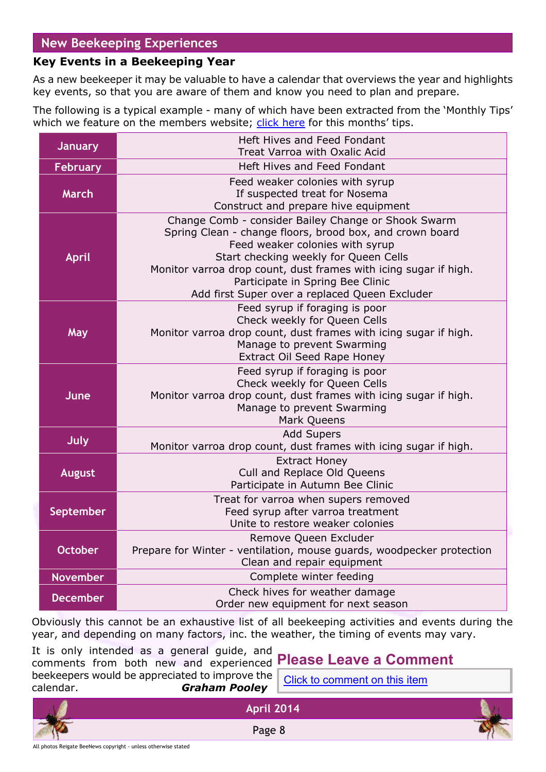# **New Beekeeping Experiences**

# **Key Events in a Beekeeping Year**

As a new beekeeper it may be valuable to have a calendar that overviews the year and highlights key events, so that you are aware of them and know you need to plan and prepare.

The following is a typical example - many of which have been extracted from the 'Monthly Tips' which we feature on the members website; [click here](http://rbkbblog.com/category/this-month-in-your-apiary/) for this months' tips.

| <b>January</b>  | Heft Hives and Feed Fondant<br>Treat Varroa with Oxalic Acid                                                                                                                                                                                                                                                                                          |  |
|-----------------|-------------------------------------------------------------------------------------------------------------------------------------------------------------------------------------------------------------------------------------------------------------------------------------------------------------------------------------------------------|--|
| <b>February</b> | Heft Hives and Feed Fondant                                                                                                                                                                                                                                                                                                                           |  |
| <b>March</b>    | Feed weaker colonies with syrup<br>If suspected treat for Nosema<br>Construct and prepare hive equipment                                                                                                                                                                                                                                              |  |
| April           | Change Comb - consider Bailey Change or Shook Swarm<br>Spring Clean - change floors, brood box, and crown board<br>Feed weaker colonies with syrup<br>Start checking weekly for Queen Cells<br>Monitor varroa drop count, dust frames with icing sugar if high.<br>Participate in Spring Bee Clinic<br>Add first Super over a replaced Queen Excluder |  |
| May             | Feed syrup if foraging is poor<br>Check weekly for Queen Cells<br>Monitor varroa drop count, dust frames with icing sugar if high.<br>Manage to prevent Swarming<br><b>Extract Oil Seed Rape Honey</b>                                                                                                                                                |  |
| June            | Feed syrup if foraging is poor<br>Check weekly for Queen Cells<br>Monitor varroa drop count, dust frames with icing sugar if high.<br>Manage to prevent Swarming<br>Mark Queens                                                                                                                                                                       |  |
| July            | <b>Add Supers</b><br>Monitor varroa drop count, dust frames with icing sugar if high.                                                                                                                                                                                                                                                                 |  |
| <b>August</b>   | <b>Extract Honey</b><br>Cull and Replace Old Queens<br>Participate in Autumn Bee Clinic                                                                                                                                                                                                                                                               |  |
| September       | Treat for varroa when supers removed<br>Feed syrup after varroa treatment<br>Unite to restore weaker colonies                                                                                                                                                                                                                                         |  |
| <b>October</b>  | Remove Queen Excluder<br>Prepare for Winter - ventilation, mouse guards, woodpecker protection<br>Clean and repair equipment                                                                                                                                                                                                                          |  |
| <b>November</b> | Complete winter feeding                                                                                                                                                                                                                                                                                                                               |  |
| <b>December</b> | Check hives for weather damage<br>Order new equipment for next season                                                                                                                                                                                                                                                                                 |  |

Obviously this cannot be an exhaustive list of all beekeeping activities and events during the year, and depending on many factors, inc. the weather, the timing of events may vary.

**April 2014**

Page 8

It is only intended as a general guide, and comments from both new and experienced **Please Leave a Comment** beekeepers would be appreciated to improve the calendar. *Graham Pooley*

[Click to comment on this item](http://rbkbblog.com/2014/04/01/april-2014-beenews/)

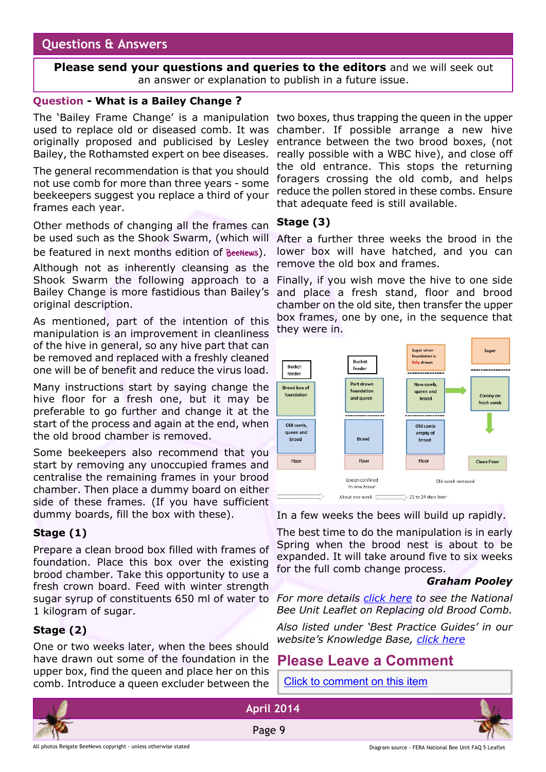# **Questions & Answers**

**Please send your questions and queries to the editors** and we will seek out an answer or explanation to publish in a future issue.

#### **Question - What is a Bailey Change ?**

The 'Bailey Frame Change' is a manipulation two boxes, thus trapping the queen in the upper used to replace old or diseased comb. It was originally proposed and publicised by Lesley Bailey, the Rothamsted expert on bee diseases.

The general recommendation is that you should not use comb for more than three years - some beekeepers suggest you replace a third of your frames each year.

Other methods of changing all the frames can be used such as the Shook Swarm, (which will be featured in next months edition of BeeNews).

Although not as inherently cleansing as the Shook Swarm the following approach to a Bailey Change is more fastidious than Bailey's original description.

As mentioned, part of the intention of this manipulation is an improvement in cleanliness of the hive in general, so any hive part that can be removed and replaced with a freshly cleaned one will be of benefit and reduce the virus load.

Many instructions start by saying change the hive floor for a fresh one, but it may be preferable to go further and change it at the start of the process and again at the end, when the old brood chamber is removed.

Some beekeepers also recommend that you start by removing any unoccupied frames and centralise the remaining frames in your brood chamber. Then place a dummy board on either side of these frames. (If you have sufficient dummy boards, fill the box with these).

### **Stage (1)**

Prepare a clean brood box filled with frames of foundation. Place this box over the existing brood chamber. Take this opportunity to use a fresh crown board. Feed with winter strength sugar syrup of constituents 650 ml of water to 1 kilogram of sugar.

### **Stage (2)**

One or two weeks later, when the bees should have drawn out some of the foundation in the upper box, find the queen and place her on this comb. Introduce a queen excluder between the

chamber. If possible arrange a new hive entrance between the two brood boxes, (not really possible with a WBC hive), and close off the old entrance. This stops the returning foragers crossing the old comb, and helps reduce the pollen stored in these combs. Ensure that adequate feed is still available.

#### **Stage (3)**

After a further three weeks the brood in the lower box will have hatched, and you can remove the old box and frames.

Finally, if you wish move the hive to one side and place a fresh stand, floor and brood chamber on the old site, then transfer the upper box frames, one by one, in the sequence that they were in.



In a few weeks the bees will build up rapidly.

The best time to do the manipulation is in early Spring when the brood nest is about to be expanded. It will take around five to six weeks for the full comb change process.

#### *Graham Pooley*

*For more details [click here](https://secure.fera.defra.gov.uk/beebase/downloadDocument.cfm?id=170) to see the National Bee Unit Leaflet on Replacing old Brood Comb.*

*Also listed under 'Best Practice Guides' in our website's Knowledge Base, [click here](http://rbkbblog.com/2013/10/28/beekeeping-best-practice-guides-from-fera-the-full-list/)*

# **Please Leave a Comment**

[Click to comment on this item](http://rbkbblog.com/2014/04/01/april-2014-beenews/)

**April 2014**

Page 9